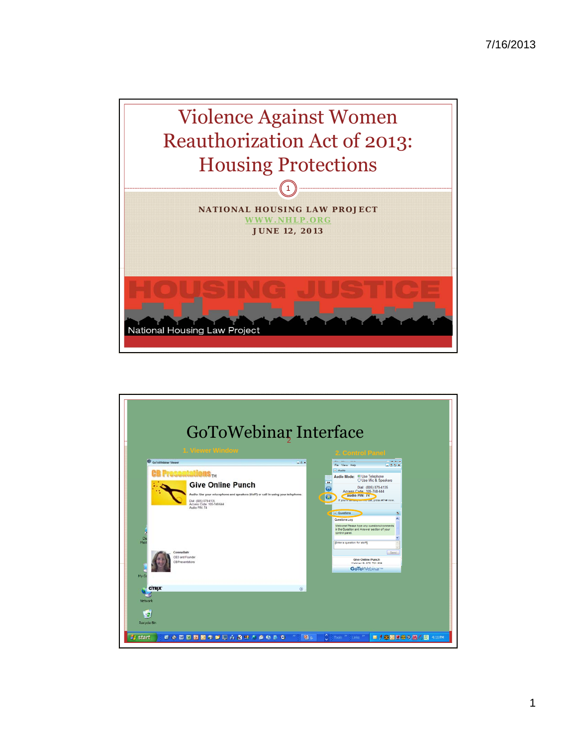

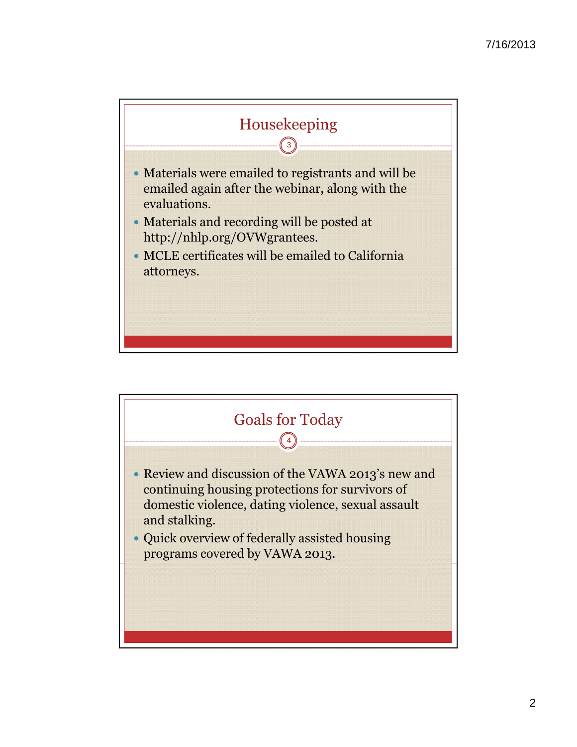

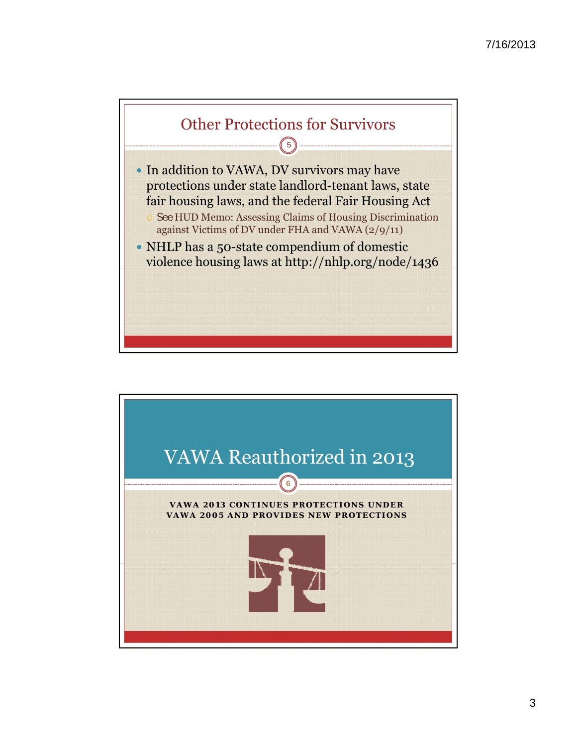

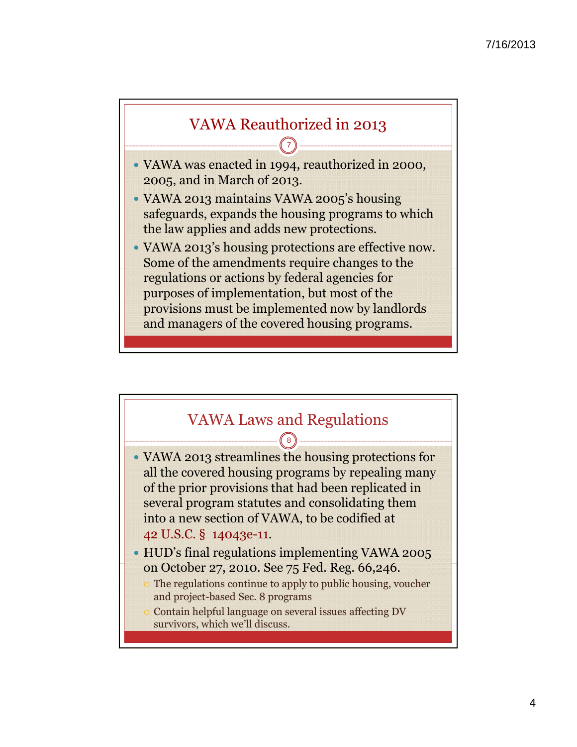

- VAWA was enacted in 1994, reauthorized in 2000, 2005, and in March of 2013.
- VAWA 2013 maintains VAWA 2005's housing safeguards, expands the housing programs to which the law applies and adds new protections.
- VAWA 2013's housing protections are effective now. Some of the amendments require changes to the regulations or actions by federal agencies for purposes of implementation, but most of the provisions must be implemented now by landlords and managers of the covered housing programs.

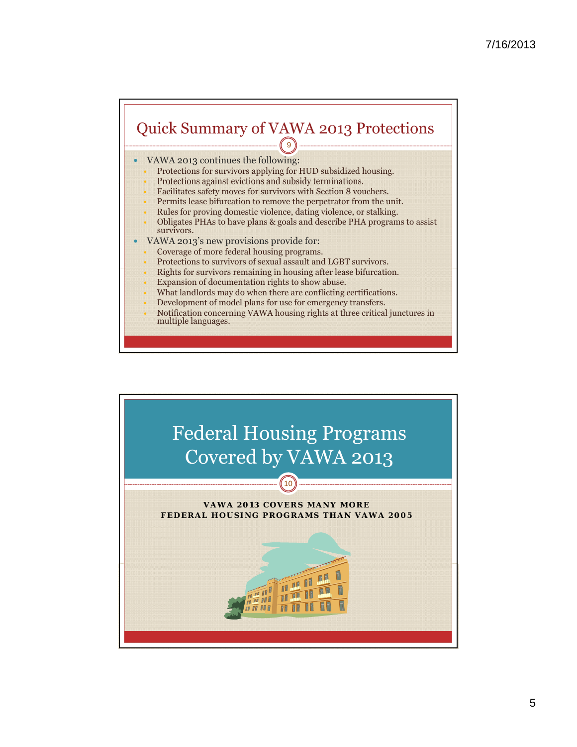## Quick Summary of VAWA 2013 Protections 9

- VAWA 2013 continues the following:
	- Protections for survivors applying for HUD subsidized housing.
	- Protections against evictions and subsidy terminations.
	- Facilitates safety moves for survivors with Section 8 vouchers.
	- Permits lease bifurcation to remove the perpetrator from the unit.
	- Rules for proving domestic violence, dating violence, or stalking.
	- Obligates PHAs to have plans & goals and describe PHA programs to assist survivors.
- VAWA 2013's new provisions provide for:
	- Coverage of more federal housing programs.
	- Protections to survivors of sexual assault and LGBT survivors.
	- Rights for survivors remaining in housing after lease bifurcation.
	- Expansion of documentation rights to show abuse.
	- What landlords may do when there are conflicting certifications.
	- Development of model plans for use for emergency transfers.
	- Notification concerning VAWA housing rights at three critical junctures in multiple languages.

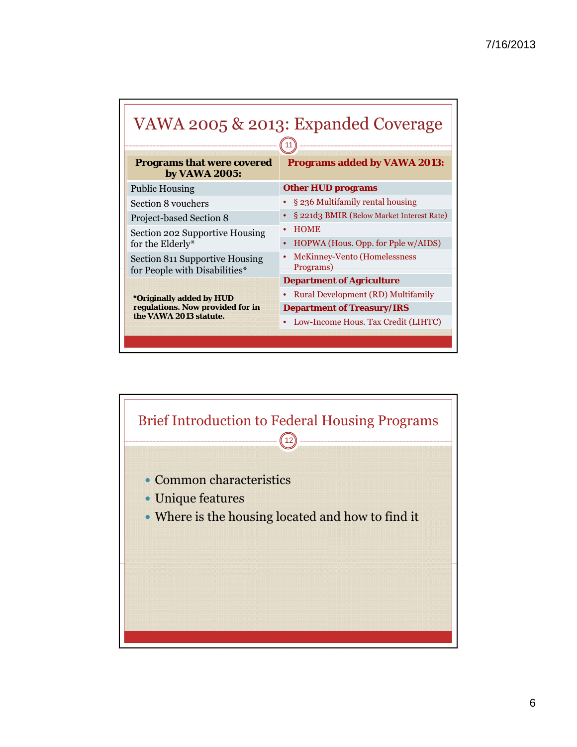| <b>Programs that were covered</b><br>by VAWA 2005:                                            | <b>Programs added by VAWA 2013:</b>               |
|-----------------------------------------------------------------------------------------------|---------------------------------------------------|
| <b>Public Housing</b>                                                                         | <b>Other HUD programs</b>                         |
| Section 8 vouchers                                                                            | § 236 Multifamily rental housing                  |
| Project-based Section 8                                                                       | § 221d3 BMIR (Below Market Interest Rate)         |
| Section 202 Supportive Housing<br>for the Elderly*                                            | <b>HOME</b><br>HOPWA (Hous. Opp. for Pple w/AIDS) |
| Section 811 Supportive Housing<br>for People with Disabilities*                               | McKinney-Vento (Homelessness<br>Programs)         |
| <i>*Originally added by HUD</i><br>regulations. Now provided for in<br>the VAWA 2013 statute. | <b>Department of Agriculture</b>                  |
|                                                                                               | Rural Development (RD) Multifamily                |
|                                                                                               | <b>Department of Treasury/IRS</b>                 |
|                                                                                               | Low-Income Hous. Tax Credit (LIHTC)               |

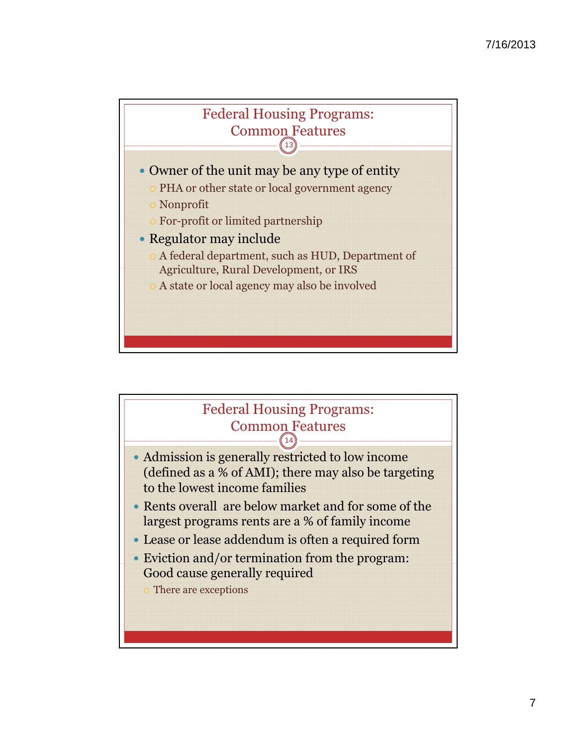



7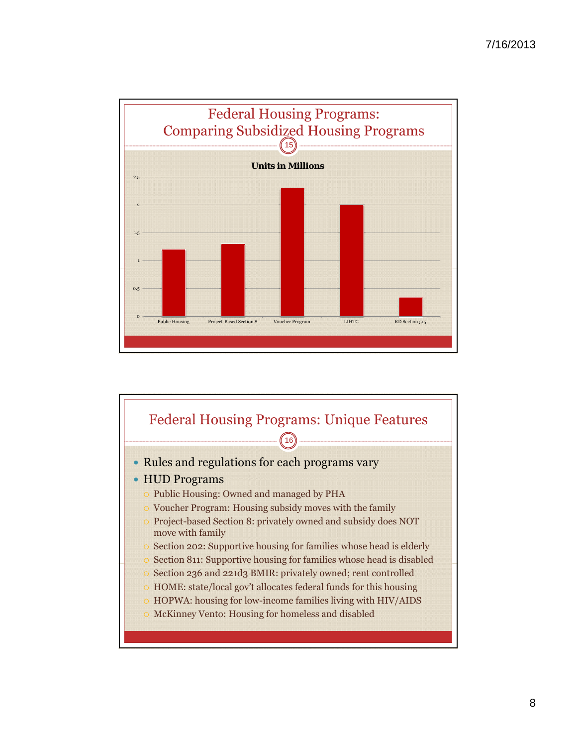

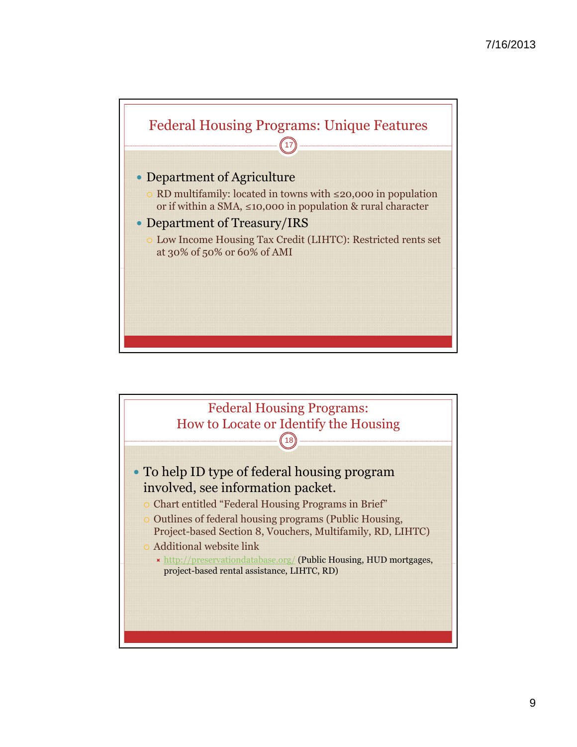

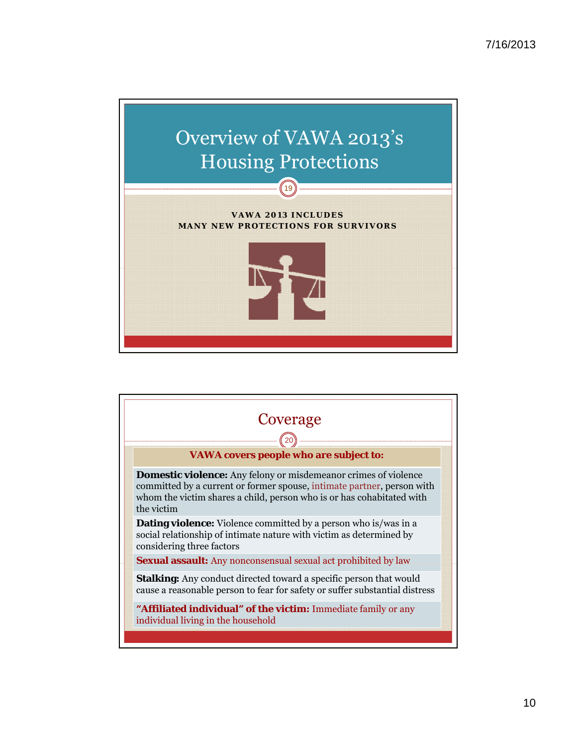

## **VAWA 2013 INCLUDES MANY NEW PROTECTIONS FOR SURVIVORS**



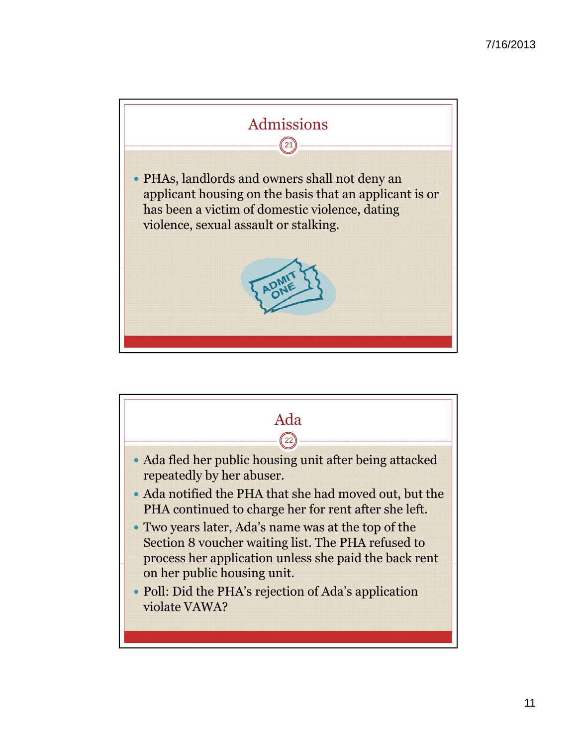

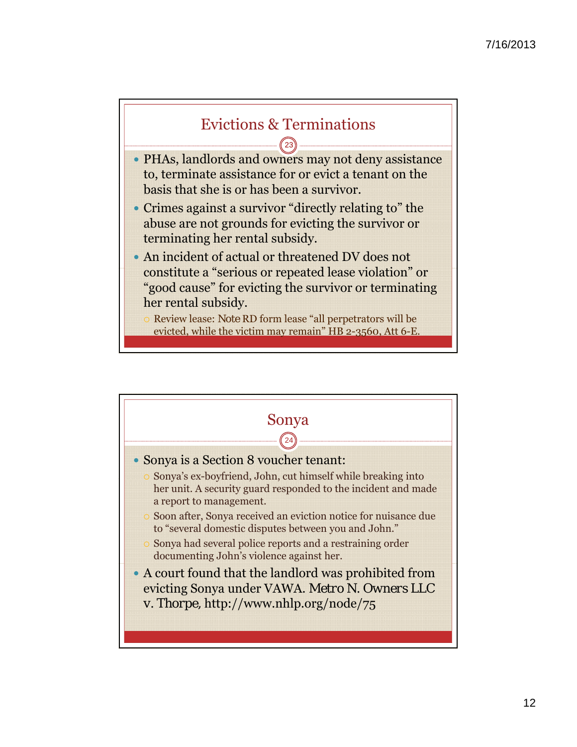

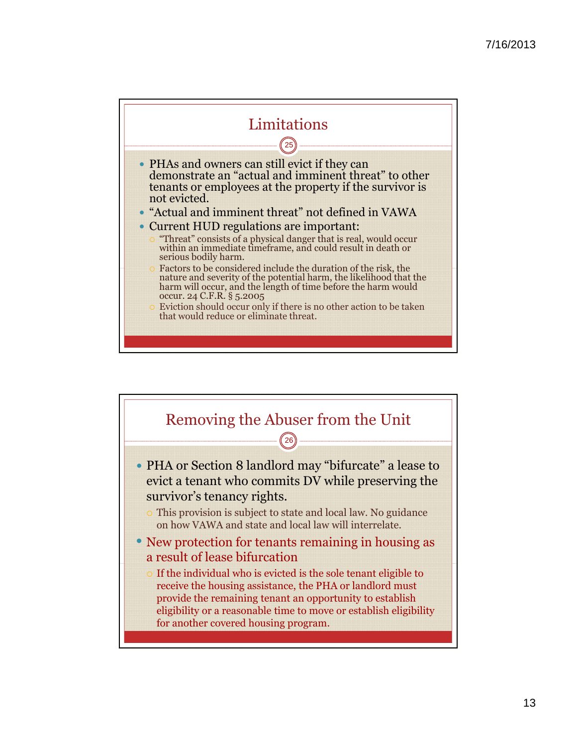

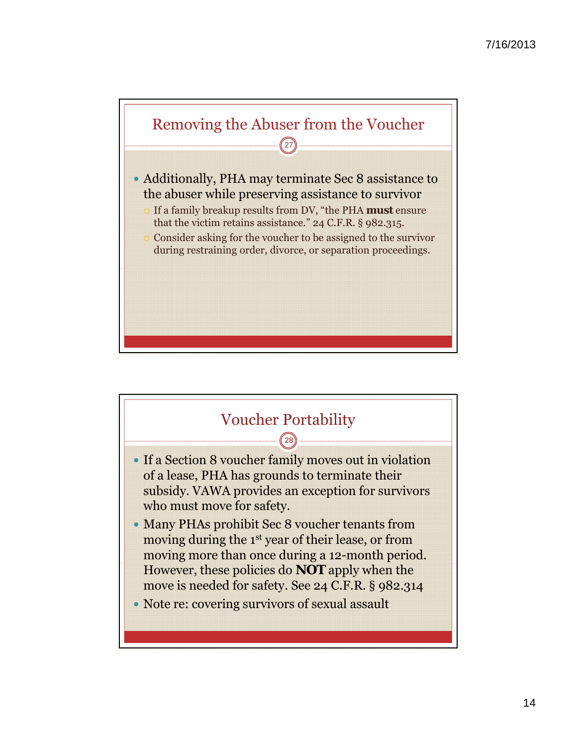

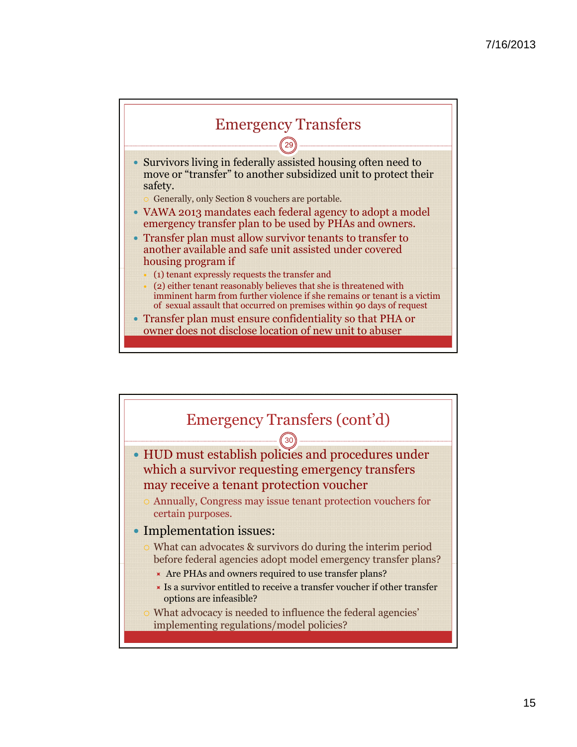

 Survivors living in federally assisted housing often need to move or "transfer" to another subsidized unit to protect their safety.

Generally, only Section 8 vouchers are portable.

- VAWA 2013 mandates each federal agency to adopt a model emergency transfer plan to be used by PHAs and owners.
- Transfer plan must allow survivor tenants to transfer to another available and safe unit assisted under covered housing program if
	- (1) tenant expressly requests the transfer and
	- (2) either tenant reasonably believes that she is threatened with imminent harm from further violence if she remains or tenant is a victim of sexual assault that occurred on premises within 90 days of request
- Transfer plan must ensure confidentiality so that PHA or owner does not disclose location of new unit to abuser

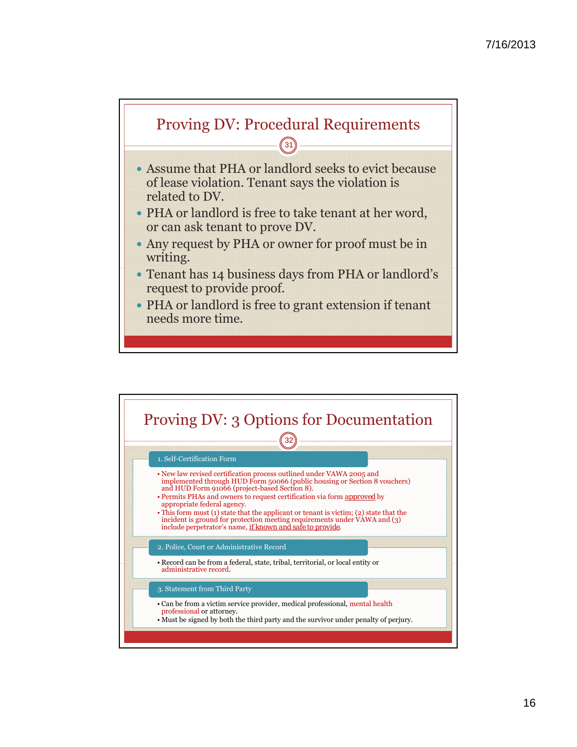

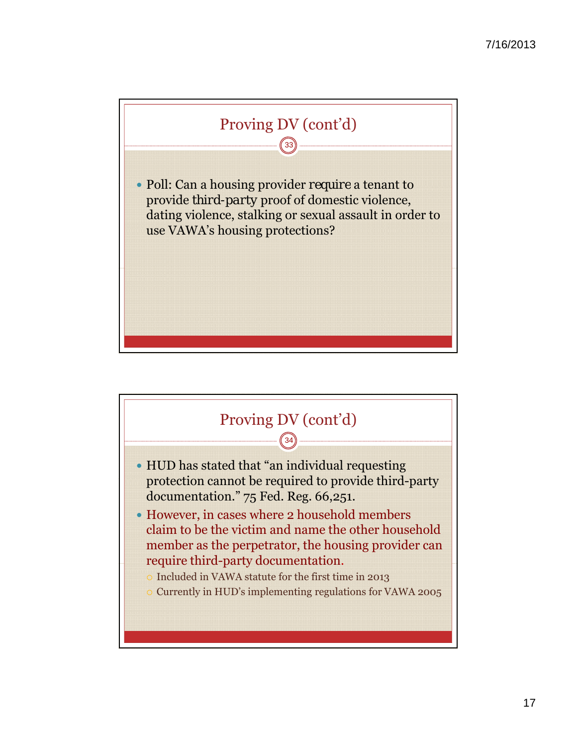

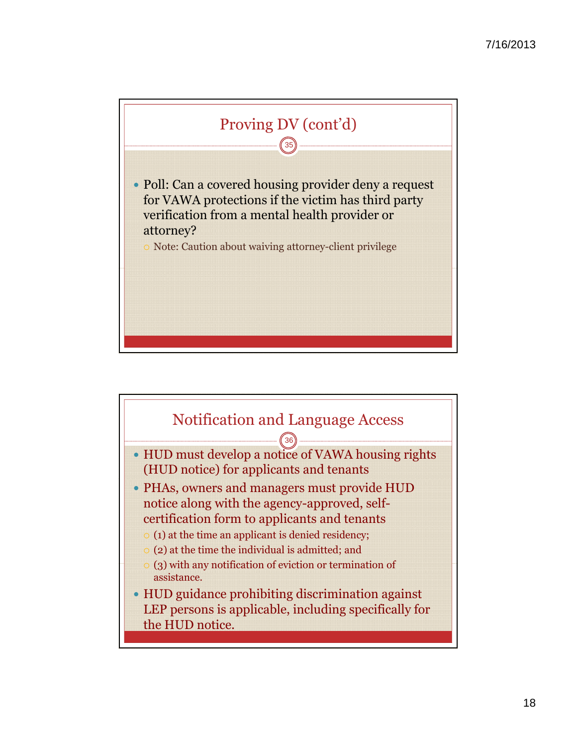

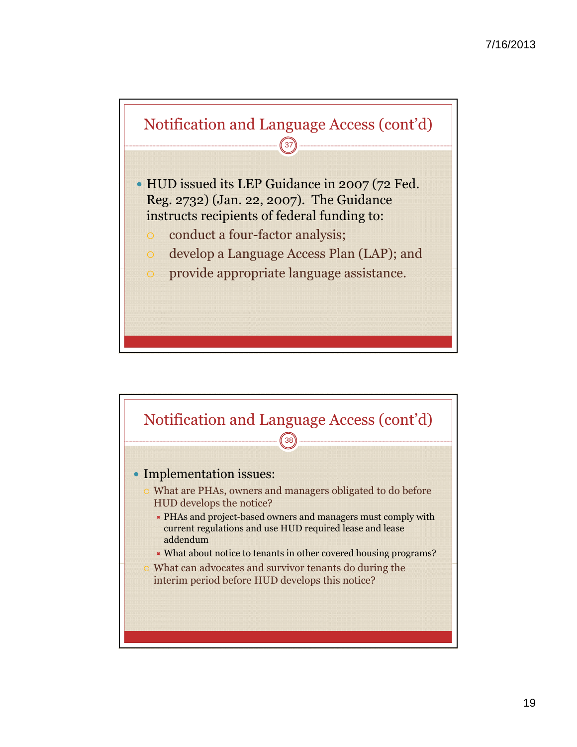

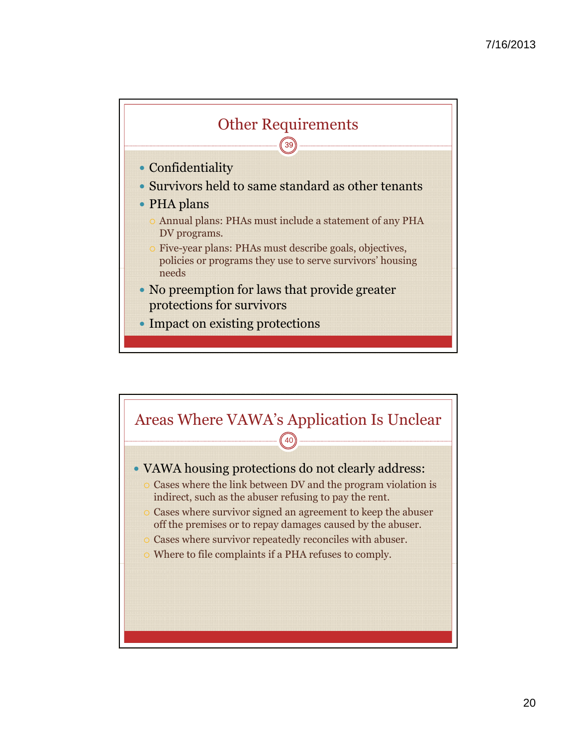

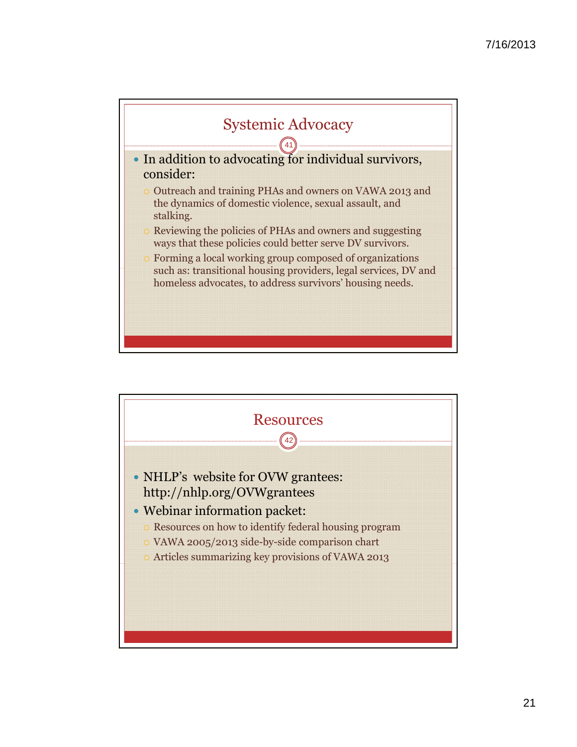